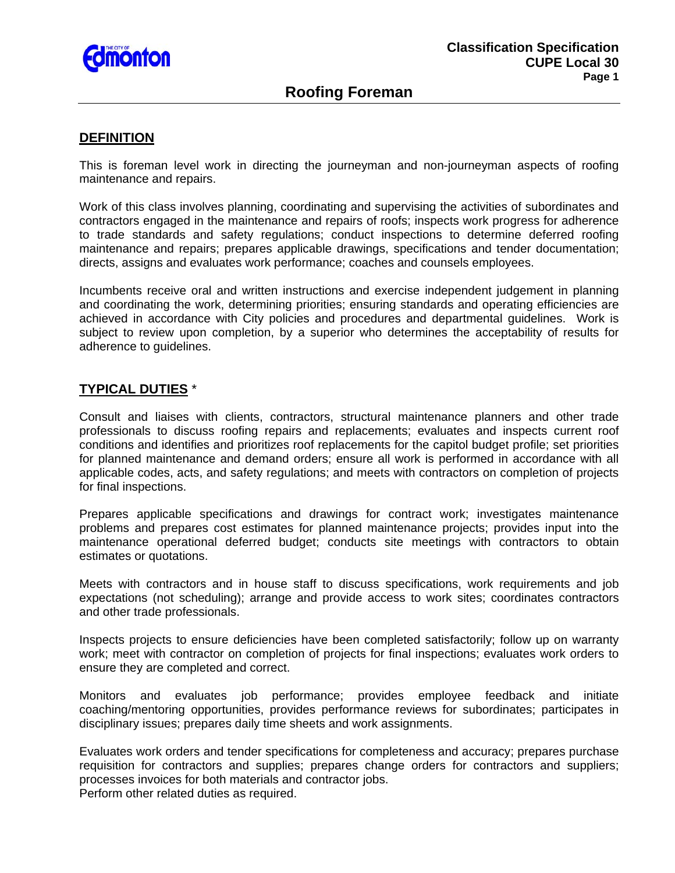

# **Roofing Foreman**

#### **DEFINITION**

This is foreman level work in directing the journeyman and non-journeyman aspects of roofing maintenance and repairs.

Work of this class involves planning, coordinating and supervising the activities of subordinates and contractors engaged in the maintenance and repairs of roofs; inspects work progress for adherence to trade standards and safety regulations; conduct inspections to determine deferred roofing maintenance and repairs; prepares applicable drawings, specifications and tender documentation; directs, assigns and evaluates work performance; coaches and counsels employees.

Incumbents receive oral and written instructions and exercise independent judgement in planning and coordinating the work, determining priorities; ensuring standards and operating efficiencies are achieved in accordance with City policies and procedures and departmental guidelines. Work is subject to review upon completion, by a superior who determines the acceptability of results for adherence to guidelines.

### **TYPICAL DUTIES** \*

Consult and liaises with clients, contractors, structural maintenance planners and other trade professionals to discuss roofing repairs and replacements; evaluates and inspects current roof conditions and identifies and prioritizes roof replacements for the capitol budget profile; set priorities for planned maintenance and demand orders; ensure all work is performed in accordance with all applicable codes, acts, and safety regulations; and meets with contractors on completion of projects for final inspections.

Prepares applicable specifications and drawings for contract work; investigates maintenance problems and prepares cost estimates for planned maintenance projects; provides input into the maintenance operational deferred budget; conducts site meetings with contractors to obtain estimates or quotations.

Meets with contractors and in house staff to discuss specifications, work requirements and job expectations (not scheduling); arrange and provide access to work sites; coordinates contractors and other trade professionals.

Inspects projects to ensure deficiencies have been completed satisfactorily; follow up on warranty work; meet with contractor on completion of projects for final inspections; evaluates work orders to ensure they are completed and correct.

Monitors and evaluates job performance; provides employee feedback and initiate coaching/mentoring opportunities, provides performance reviews for subordinates; participates in disciplinary issues; prepares daily time sheets and work assignments.

Evaluates work orders and tender specifications for completeness and accuracy; prepares purchase requisition for contractors and supplies; prepares change orders for contractors and suppliers; processes invoices for both materials and contractor jobs. Perform other related duties as required.